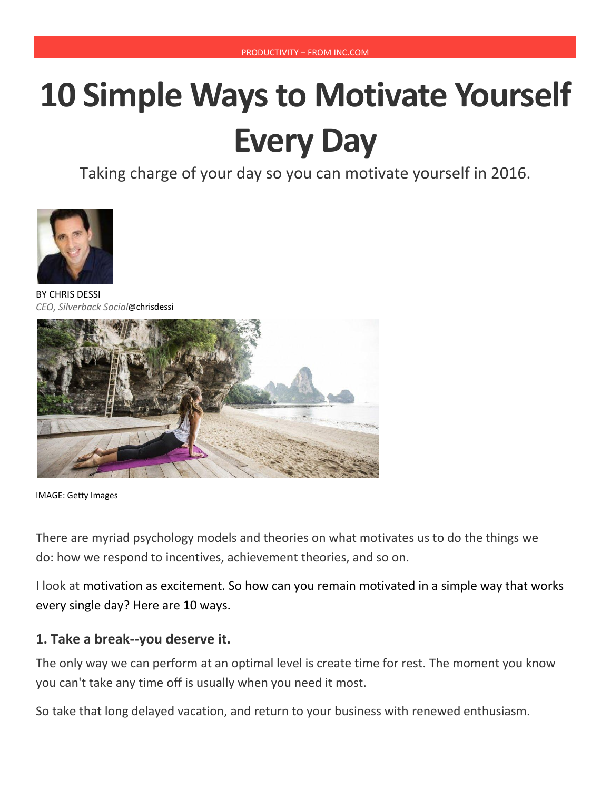# **10 Simple Ways to Motivate Yourself Every Day**

Taking charge of your day so you can motivate yourself in 2016.



BY [CHRIS](http://www.inc.com/author/chris-dessi) DESSI *CEO, Silverback Social*@[chrisdessi](http://www.twitter.com/chrisdessi)



IMAGE: Getty Images

There are myriad psychology models and theories on what motivates us to do the things we do: how we respond to incentives, achievement theories, and so on.

I look at motivation [as excitement.](http://www.inc.com/anna-hensel/10-best-motivational-quotes-of-wayne-dyer.html) So how can you remain motivated in a simple way that works every single day? Here are 10 ways.

#### **1. Take a break--you deserve it.**

The only way we can perform at an optimal level is create time for rest. The moment you know you can't take any time off is usually when you need it most.

So take that long delayed vacation, and return to your business with renewed enthusiasm.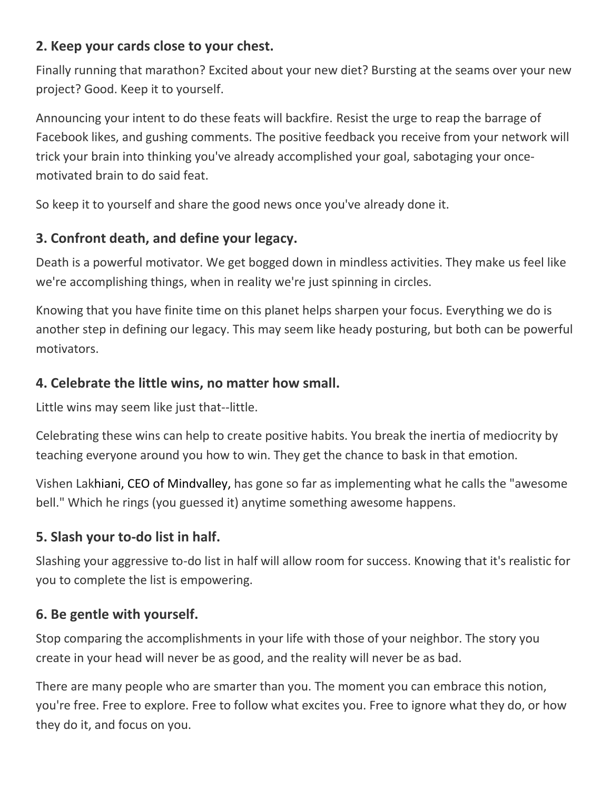### **2. Keep your cards close to your chest.**

Finally running that marathon? Excited about your new diet? Bursting at the seams over your new project? Good. Keep it to yourself.

Announcing your intent to do these feats will backfire. Resist the urge to reap the barrage of Facebook likes, and gushing comments. The positive feedback you receive from your network will trick your brain into thinking you've already accomplished your goal, sabotaging your oncemotivated brain to do said feat.

So keep it to yourself and share the good news once you've already done it.

# **3. Confront death, and define your legacy.**

Death is a powerful motivator. We get bogged down in mindless activities. They make us feel like we're accomplishing things, when in reality we're just spinning in circles.

Knowing that you have finite time on this planet helps sharpen your focus. Everything we do is another step in defining our legacy. This may seem like heady posturing, but both can be powerful motivators.

# **4. Celebrate the little wins, no matter how small.**

Little wins may seem like just that--little.

Celebrating these wins can help to create positive habits. You break the inertia of mediocrity by teaching everyone around you how to win. They get the chance to bask in that emotion.

Vishen Lakhiani, CEO of [Mindvalley,](http://www.mindvalley.com/) has gone so far as implementing what he calls the "awesome bell." Which he rings (you guessed it) anytime something awesome happens.

# **5. Slash your to-do list in half.**

Slashing your aggressive to-do list in half will allow room for success. Knowing that it's realistic for you to complete the list is empowering.

# **6. Be gentle with yourself.**

Stop comparing the accomplishments in your life with those of your neighbor. The story you create in your head will never be as good, and the reality will never be as bad.

There are many people who are smarter than you. The moment you can embrace this notion, you're free. Free to explore. Free to follow what excites you. Free to ignore what they do, or how they do it, and focus on you.